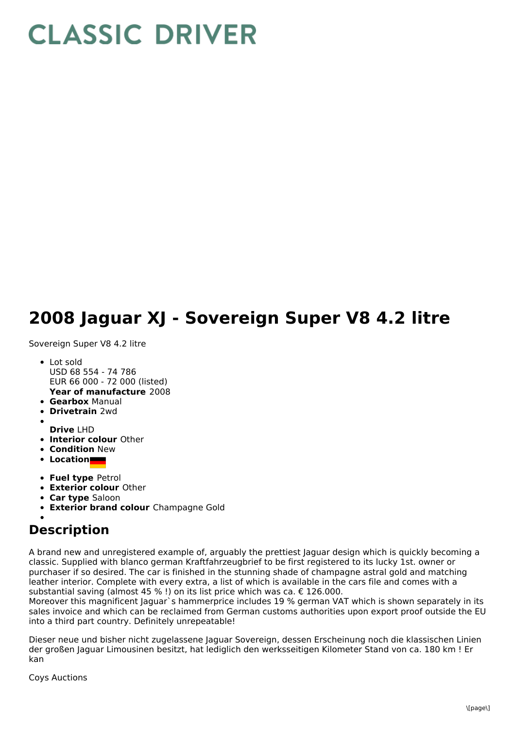## **CLASSIC DRIVER**

## **2008 Jaguar XJ - Sovereign Super V8 4.2 litre**

Sovereign Super V8 4.2 litre

- **Year of manufacture** 2008 Lot sold USD 68 554 - 74 786 EUR 66 000 - 72 000 (listed)
- **Gearbox** Manual
- **Drivetrain** 2wd
- 
- **Drive** LHD **Interior colour** Other
- **Condition New**
- **Location**
- **Fuel type** Petrol
- **Exterior colour** Other
- **Car type** Saloon
- **Exterior brand colour** Champagne Gold

## **Description**

A brand new and unregistered example of, arguably the prettiest Jaguar design which is quickly becoming a classic. Supplied with blanco german Kraftfahrzeugbrief to be first registered to its lucky 1st. owner or purchaser if so desired. The car is finished in the stunning shade of champagne astral gold and matching leather interior. Complete with every extra, a list of which is available in the cars file and comes with a substantial saving (almost 45 % !) on its list price which was ca. € 126.000.

Moreover this magnificent Jaguar`s hammerprice includes 19 % german VAT which is shown separately in its sales invoice and which can be reclaimed from German customs authorities upon export proof outside the EU into a third part country. Definitely unrepeatable!

Dieser neue und bisher nicht zugelassene Jaguar Sovereign, dessen Erscheinung noch die klassischen Linien der großen Jaguar Limousinen besitzt, hat lediglich den werksseitigen Kilometer Stand von ca. 180 km ! Er kan

Coys Auctions